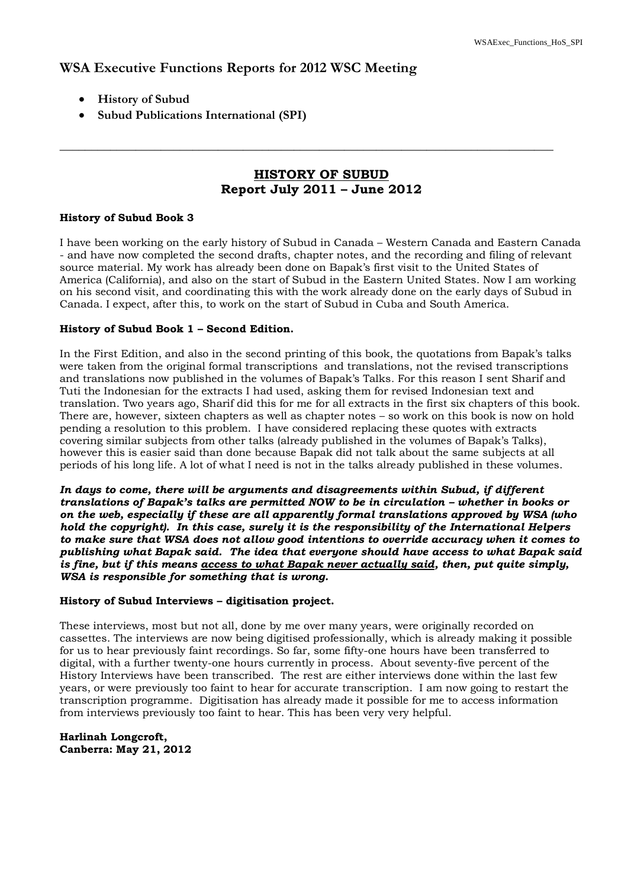## **WSA Executive Functions Reports for 2012 WSC Meeting**

- **History of Subud**
- **Subud Publications International (SPI)**

## **HISTORY OF SUBUD Report July 2011 – June 2012**

\_\_\_\_\_\_\_\_\_\_\_\_\_\_\_\_\_\_\_\_\_\_\_\_\_\_\_\_\_\_\_\_\_\_\_\_\_\_\_\_\_\_\_\_\_\_\_\_\_\_\_\_\_\_\_\_\_\_\_\_\_\_\_\_\_\_\_\_\_\_\_\_\_\_\_\_\_\_

#### **History of Subud Book 3**

I have been working on the early history of Subud in Canada – Western Canada and Eastern Canada - and have now completed the second drafts, chapter notes, and the recording and filing of relevant source material. My work has already been done on Bapak's first visit to the United States of America (California), and also on the start of Subud in the Eastern United States. Now I am working on his second visit, and coordinating this with the work already done on the early days of Subud in Canada. I expect, after this, to work on the start of Subud in Cuba and South America.

#### **History of Subud Book 1 – Second Edition.**

In the First Edition, and also in the second printing of this book, the quotations from Bapak's talks were taken from the original formal transcriptions and translations, not the revised transcriptions and translations now published in the volumes of Bapak's Talks*.* For this reason I sent Sharif and Tuti the Indonesian for the extracts I had used, asking them for revised Indonesian text and translation. Two years ago, Sharif did this for me for all extracts in the first six chapters of this book. There are, however, sixteen chapters as well as chapter notes – so work on this book is now on hold pending a resolution to this problem. I have considered replacing these quotes with extracts covering similar subjects from other talks (already published in the volumes of Bapak's Talks), however this is easier said than done because Bapak did not talk about the same subjects at all periods of his long life. A lot of what I need is not in the talks already published in these volumes.

*In days to come, there will be arguments and disagreements within Subud, if different translations of Bapak's talks are permitted NOW to be in circulation – whether in books or on the web, especially if these are all apparently formal translations approved by WSA (who hold the copyright). In this case, surely it is the responsibility of the International Helpers to make sure that WSA does not allow good intentions to override accuracy when it comes to publishing what Bapak said. The idea that everyone should have access to what Bapak said is fine, but if this means access to what Bapak never actually said, then, put quite simply, WSA is responsible for something that is wrong.* 

#### **History of Subud Interviews – digitisation project.**

These interviews, most but not all, done by me over many years, were originally recorded on cassettes. The interviews are now being digitised professionally, which is already making it possible for us to hear previously faint recordings. So far, some fifty-one hours have been transferred to digital, with a further twenty-one hours currently in process. About seventy-five percent of the History Interviews have been transcribed. The rest are either interviews done within the last few years, or were previously too faint to hear for accurate transcription. I am now going to restart the transcription programme. Digitisation has already made it possible for me to access information from interviews previously too faint to hear. This has been very very helpful.

**Harlinah Longcroft, Canberra: May 21, 2012**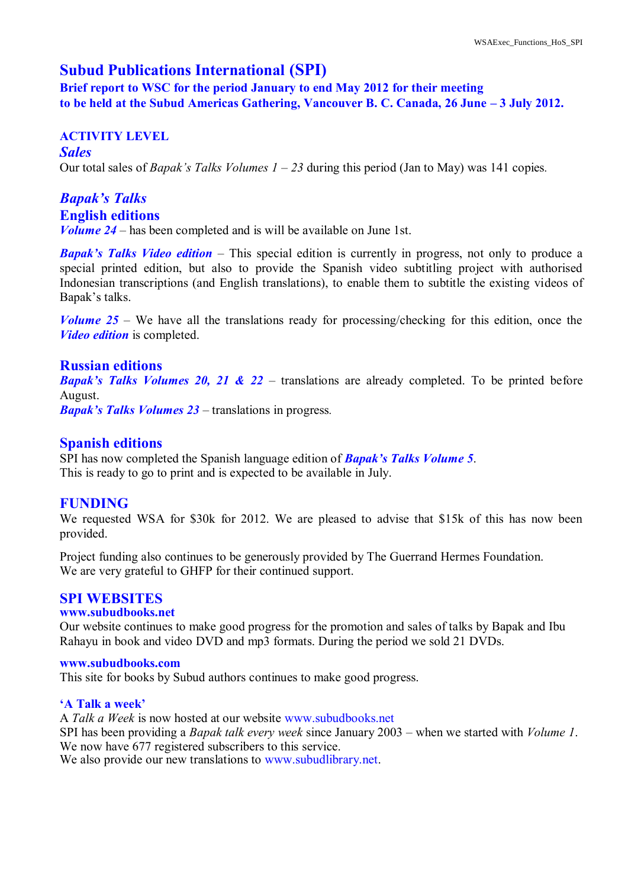## **Subud Publications International (SPI)**

**Brief report to WSC for the period January to end May 2012 for their meeting to be held at the Subud Americas Gathering, Vancouver B. C. Canada, 26 June – 3 July 2012.**

### **ACTIVITY LEVEL**

*Sales* Our total sales of *Bapak's Talks Volumes 1 – 23* during this period (Jan to May) was 141 copies*.*

# *Bapak's Talks*  **English editions**

*Volume 24* – has been completed and is will be available on June 1st.

*Bapak's Talks Video edition* – This special edition is currently in progress, not only to produce a special printed edition, but also to provide the Spanish video subtitling project with authorised Indonesian transcriptions (and English translations), to enable them to subtitle the existing videos of Bapak's talks.

*Volume 25* – We have all the translations ready for processing/checking for this edition, once the *Video edition* is completed.

#### **Russian editions**

*Bapak's Talks Volumes 20, 21 & 22* – translations are already completed. To be printed before August.

*Bapak's Talks Volumes 23 –* translations in progress*.*

#### **Spanish editions**

SPI has now completed the Spanish language edition of *Bapak's Talks Volume 5*. This is ready to go to print and is expected to be available in July.

## **FUNDING**

We requested WSA for \$30k for 2012. We are pleased to advise that \$15k of this has now been provided.

Project funding also continues to be generously provided by The Guerrand Hermes Foundation. We are very grateful to GHFP for their continued support.

## **SPI WEBSITES**

#### **www.subudbooks.net**

Our website continues to make good progress for the promotion and sales of talks by Bapak and Ibu Rahayu in book and video DVD and mp3 formats. During the period we sold 21 DVDs.

#### **www.subudbooks.com**

This site for books by Subud authors continues to make good progress.

#### **'A Talk a week'**

A *Talk a Week* is now hosted at our website www.subudbooks.net SPI has been providing a *Bapak talk every week* since January 2003 – when we started with *Volume 1*. We now have 677 registered subscribers to this service.

We also provide our new translations to www.subudlibrary.net.